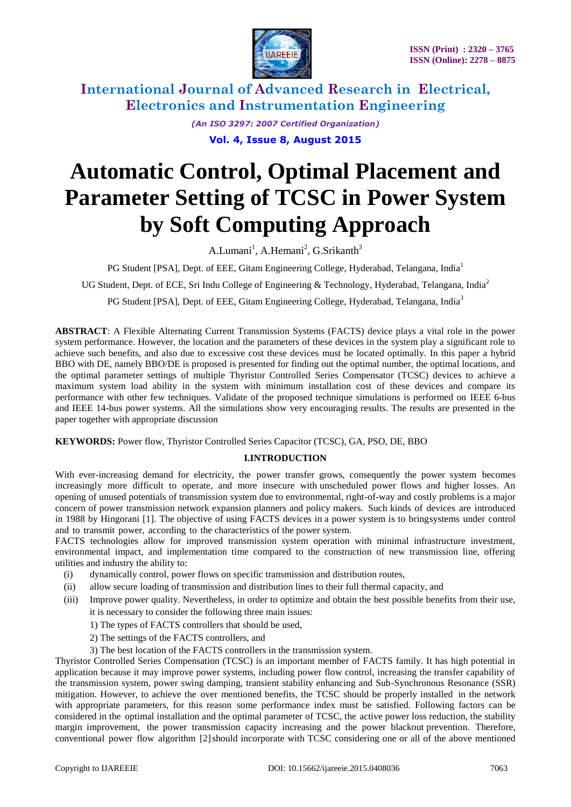

> *(An ISO 3297: 2007 Certified Organization)* **Vol. 4, Issue 8, August 2015**

# **Automatic Control, Optimal Placement and Parameter Setting of TCSC in Power System by Soft Computing Approach**

A.Lumani<sup>1</sup>, A.Hemani<sup>2</sup>, G.Srikanth<sup>3</sup>

PG Student [PSA], Dept. of EEE, Gitam Engineering College, Hyderabad, Telangana, India<sup>1</sup>

UG Student, Dept. of ECE, Sri Indu College of Engineering & Technology, Hyderabad, Telangana, India<sup>2</sup>

PG Student [PSA], Dept. of EEE, Gitam Engineering College, Hyderabad, Telangana, India<sup>3</sup>

**ABSTRACT**: A Flexible Alternating Current Transmission Systems (FACTS) device plays a vital role in the power system performance. However, the location and the parameters of these devices in the system play a significant role to achieve such benefits, and also due to excessive cost these devices must be located optimally. In this paper a hybrid BBO with DE, namely BBO/DE is proposed is presented for finding out the optimal number, the optimal locations, and the optimal parameter settings of multiple Thyristor Controlled Series Compensator (TCSC) devices to achieve a maximum system load ability in the system with minimum installation cost of these devices and compare its performance with other few techniques. Validate of the proposed technique simulations is performed on IEEE 6-bus and IEEE 14-bus power systems. All the simulations show very encouraging results. The results are presented in the paper together with appropriate discussion

**KEYWORDS:** Power flow, Thyristor Controlled Series Capacitor (TCSC), GA, PSO, DE, BBO

### **I.INTRODUCTION**

With ever-increasing demand for electricity, the power transfer grows, consequently the power system becomes increasingly more difficult to operate, and more insecure with unscheduled power flows and higher losses. An opening of unused potentials of transmission system due to environmental, right-of-way and costly problems is a major concern of power transmission network expansion planners and policy makers. Such kinds of devices are introduced in 1988 by Hingorani [1]. The objective of using FACTS devices in a power system is to bringsystems under control and to transmit power, according to the characteristics of the power system.

FACTS technologies allow for improved transmission system operation with minimal infrastructure investment, environmental impact, and implementation time compared to the construction of new transmission line, offering utilities and industry the ability to:

- (i) dynamically control, power flows on specific transmission and distribution routes,
- (ii) allow secure loading of transmission and distribution lines to their full thermal capacity, and
- (iii) Improve power quality. Nevertheless, in order to optimize and obtain the best possible benefits from their use, it is necessary to consider the following three main issues:
	- 1) The types of FACTS controllers that should be used,
	- 2) The settings of the FACTS controllers, and
	- 3) The best location of the FACTS controllers in the transmission system.

Thyristor Controlled Series Compensation (TCSC) is an important member of FACTS family. It has high potential in application because it may improve power systems, including power flow control, increasing the transfer capability of the transmission system, power swing damping, transient stability enhancing and Sub-Synchronous Resonance (SSR) mitigation. However, to achieve the over mentioned benefits, the TCSC should be properly installed in the network with appropriate parameters, for this reason some performance index must be satisfied. Following factors can be considered in the optimal installation and the optimal parameter of TCSC, the active power loss reduction, the stability margin improvement, the power transmission capacity increasing and the power blackout prevention. Therefore, conventional power flow algorithm [2]should incorporate with TCSC considering one or all of the above mentioned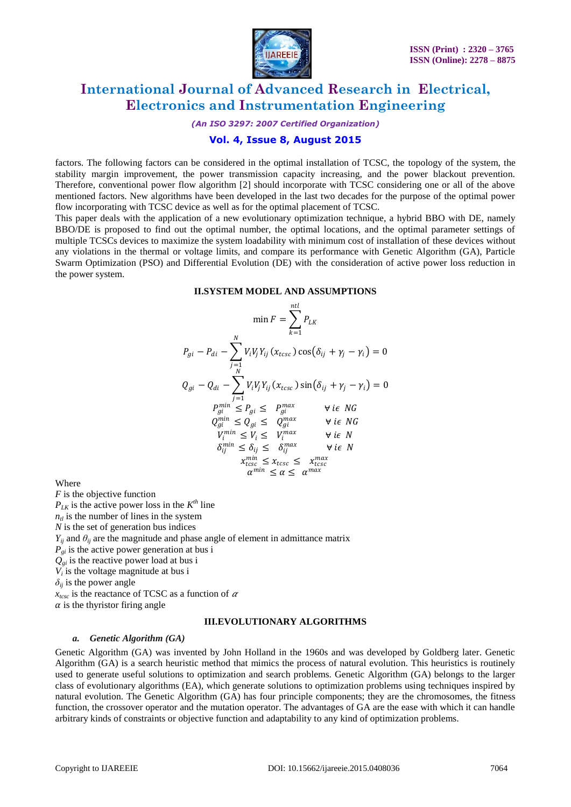

*(An ISO 3297: 2007 Certified Organization)*

### **Vol. 4, Issue 8, August 2015**

factors. The following factors can be considered in the optimal installation of TCSC, the topology of the system, the stability margin improvement, the power transmission capacity increasing, and the power blackout prevention. Therefore, conventional power flow algorithm [2] should incorporate with TCSC considering one or all of the above mentioned factors. New algorithms have been developed in the last two decades for the purpose of the optimal power flow incorporating with TCSC device as well as for the optimal placement of TCSC.

This paper deals with the application of a new evolutionary optimization technique, a hybrid BBO with DE, namely BBO/DE is proposed to find out the optimal number, the optimal locations, and the optimal parameter settings of multiple TCSCs devices to maximize the system loadability with minimum cost of installation of these devices without any violations in the thermal or voltage limits, and compare its performance with Genetic Algorithm (GA), Particle Swarm Optimization (PSO) and Differential Evolution (DE) with the consideration of active power loss reduction in the power system.

### **II.SYSTEM MODEL AND ASSUMPTIONS**

$$
\min F = \sum_{k=1}^{ntl} P_{LK}
$$
\n
$$
P_{gi} - P_{di} - \sum_{j=1}^{N} V_i V_j Y_{ij} (x_{t c s c}) \cos(\delta_{ij} + \gamma_j - \gamma_i) = 0
$$
\n
$$
Q_{gi} - Q_{di} - \sum_{j=1}^{N} V_i V_j Y_{ij} (x_{t c s c}) \sin(\delta_{ij} + \gamma_j - \gamma_i) = 0
$$
\n
$$
P_{gi}^{min} \le P_{gi} \le P_{gi}^{max} \qquad \forall i \in NG
$$
\n
$$
Q_{gi}^{min} \le Q_{gi} \le Q_{gi}^{max} \qquad \forall i \in NG
$$
\n
$$
V_i^{min} \le V_i \le V_i^{max} \qquad \forall i \in N
$$
\n
$$
S_{ij}^{min} \le \delta_{ij} \le \delta_{ij}^{max} \qquad \forall i \in N
$$
\n
$$
x_{t c s c}^{min} \le x_{t c s c} \le x_{t c s c}^{max}
$$
\n
$$
\alpha^{min} \le \alpha \le \alpha^{max}
$$

Where

*F* is the objective function

 $P_{LK}$  is the active power loss in the  $K^{th}$  line

 $n<sub>t</sub>$  is the number of lines in the system

*N* is the set of generation bus indices

 $Y_{ij}$  and  $\theta_{ij}$  are the magnitude and phase angle of element in admittance matrix

 $P_{gi}$  is the active power generation at bus i

 $Q_{gi}$  is the reactive power load at bus i

 $V_i$  is the voltage magnitude at bus i

 $\delta_{ij}$  is the power angle

 $x_{tcc}$  is the reactance of TCSC as a function of  $\alpha$ 

 $\alpha$  is the thyristor firing angle

#### **III.EVOLUTIONARY ALGORITHMS**

### *a. Genetic Algorithm (GA)*

Genetic Algorithm (GA) was invented by John Holland in the 1960s and was developed by Goldberg later. Genetic Algorithm (GA) is a search heuristic method that mimics the process of natural evolution. This heuristics is routinely used to generate useful solutions to optimization and search problems. Genetic Algorithm (GA) belongs to the larger class of evolutionary algorithms (EA), which generate solutions to optimization problems using techniques inspired by natural evolution. The Genetic Algorithm (GA) has four principle components; they are the chromosomes, the fitness function, the crossover operator and the mutation operator. The advantages of GA are the ease with which it can handle arbitrary kinds of constraints or objective function and adaptability to any kind of optimization problems.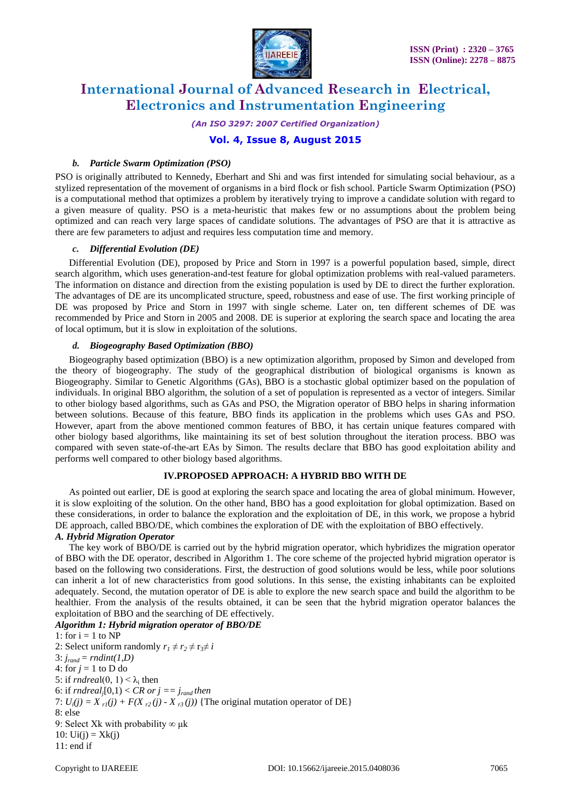

*(An ISO 3297: 2007 Certified Organization)*

### **Vol. 4, Issue 8, August 2015**

### *b. Particle Swarm Optimization (PSO)*

PSO is originally attributed to Kennedy, Eberhart and Shi and was first intended for simulating social behaviour, as a stylized representation of the movement of organisms in a bird flock or fish school. Particle Swarm Optimization (PSO) is a computational method that optimizes a problem by iteratively trying to improve a candidate solution with regard to a given measure of quality. PSO is a meta-heuristic that makes few or no assumptions about the problem being optimized and can reach very large spaces of candidate solutions. The advantages of PSO are that it is attractive as there are few parameters to adjust and requires less computation time and memory.

### *c. Differential Evolution (DE)*

Differential Evolution (DE), proposed by Price and Storn in 1997 is a powerful population based, simple, direct search algorithm, which uses generation-and-test feature for global optimization problems with real-valued parameters. The information on distance and direction from the existing population is used by DE to direct the further exploration. The advantages of DE are its uncomplicated structure, speed, robustness and ease of use. The first working principle of DE was proposed by Price and Storn in 1997 with single scheme. Later on, ten different schemes of DE was recommended by Price and Storn in 2005 and 2008. DE is superior at exploring the search space and locating the area of local optimum, but it is slow in exploitation of the solutions.

### *d. Biogeography Based Optimization (BBO)*

Biogeography based optimization (BBO) is a new optimization algorithm, proposed by Simon and developed from the theory of biogeography. The study of the geographical distribution of biological organisms is known as Biogeography. Similar to Genetic Algorithms (GAs), BBO is a stochastic global optimizer based on the population of individuals. In original BBO algorithm, the solution of a set of population is represented as a vector of integers. Similar to other biology based algorithms, such as GAs and PSO, the Migration operator of BBO helps in sharing information between solutions. Because of this feature, BBO finds its application in the problems which uses GAs and PSO. However, apart from the above mentioned common features of BBO, it has certain unique features compared with other biology based algorithms, like maintaining its set of best solution throughout the iteration process. BBO was compared with seven state-of-the-art EAs by Simon. The results declare that BBO has good exploitation ability and performs well compared to other biology based algorithms.

### **IV.PROPOSED APPROACH: A HYBRID BBO WITH DE**

As pointed out earlier, DE is good at exploring the search space and locating the area of global minimum. However, it is slow exploiting of the solution. On the other hand, BBO has a good exploitation for global optimization. Based on these considerations, in order to balance the exploration and the exploitation of DE, in this work, we propose a hybrid DE approach, called BBO/DE, which combines the exploration of DE with the exploitation of BBO effectively.

### *A. Hybrid Migration Operator*

The key work of BBO/DE is carried out by the hybrid migration operator, which hybridizes the migration operator of BBO with the DE operator, described in Algorithm 1. The core scheme of the projected hybrid migration operator is based on the following two considerations. First, the destruction of good solutions would be less, while poor solutions can inherit a lot of new characteristics from good solutions. In this sense, the existing inhabitants can be exploited adequately. Second, the mutation operator of DE is able to explore the new search space and build the algorithm to be healthier. From the analysis of the results obtained, it can be seen that the hybrid migration operator balances the exploitation of BBO and the searching of DE effectively.

### *Algorithm 1: Hybrid migration operator of BBO/DE*

1: for  $i = 1$  to NP 2: Select uniform randomly  $r_1 \neq r_2 \neq r_3 \neq i$  $3: j_{rand} = \text{rndint}(1, D)$ 4: for  $j = 1$  to D do 5: if  $rndreal(0, 1) < \lambda_i$  then 6: if  $rndreal_i[0,1) < CR$  or  $j == j_{rand}$  then 7:  $U_i(j) = X_{i}(j) + F(X_{i}(j) - X_{i}(j))$  {The original mutation operator of DE} 8: else 9: Select Xk with probability  $\infty$  μk 10:  $Ui(j) = Xk(j)$ 11: end if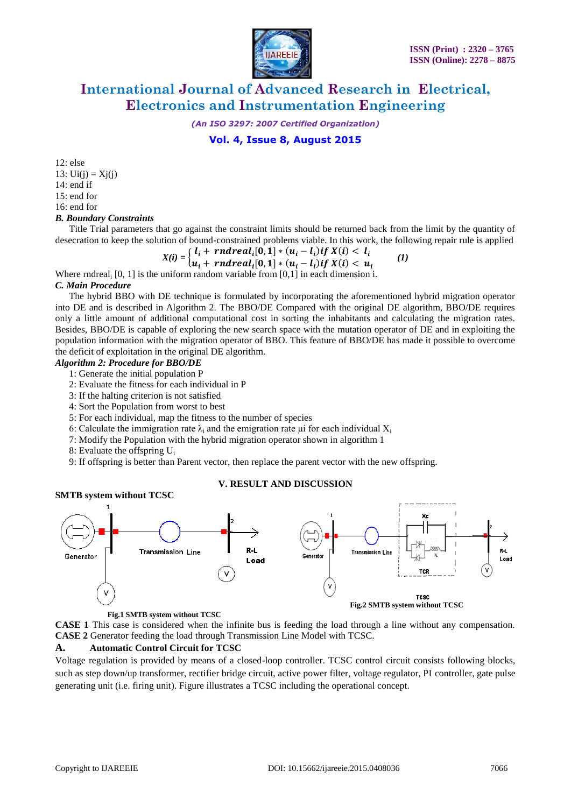

*(An ISO 3297: 2007 Certified Organization)*

### **Vol. 4, Issue 8, August 2015**

12: else 13:  $Ui(i) = Xi(i)$ 14: end if 15: end for 16: end for *B. Boundary Constraints*

Title Trial parameters that go against the constraint limits should be returned back from the limit by the quantity of desecration to keep the solution of bound-constrained problems viable. In this work, the following repair rule is applied

$$
X(i) = \begin{cases} l_i + \text{rndreal}_i[0,1] * (u_i - l_i) \text{ if } X(i) < l_i \\ \text{if } \text{mod } i \text{ and } l_i \text{ if } X(i) < n \end{cases} \tag{1}
$$

 $u_i$  +  $rndreal_i[0,1]*(u_i-l_i)$ if  $X(i) < u_i$ Where rndreal,  $[0, 1]$  is the uniform random variable from  $[0, 1]$  in each dimension i.

### *C. Main Procedure*

The hybrid BBO with DE technique is formulated by incorporating the aforementioned hybrid migration operator into DE and is described in Algorithm 2. The BBO/DE Compared with the original DE algorithm, BBO/DE requires only a little amount of additional computational cost in sorting the inhabitants and calculating the migration rates. Besides, BBO/DE is capable of exploring the new search space with the mutation operator of DE and in exploiting the population information with the migration operator of BBO. This feature of BBO/DE has made it possible to overcome the deficit of exploitation in the original DE algorithm.

### *Algorithm 2: Procedure for BBO/DE*

- 1: Generate the initial population P
- 2: Evaluate the fitness for each individual in P
- 3: If the halting criterion is not satisfied
- 4: Sort the Population from worst to best
- 5: For each individual, map the fitness to the number of species
- 6: Calculate the immigration rate  $\lambda_i$  and the emigration rate μi for each individual  $X_i$
- 7: Modify the Population with the hybrid migration operator shown in algorithm 1
- 8: Evaluate the offspring U<sup>i</sup>
- 9: If offspring is better than Parent vector, then replace the parent vector with the new offspring.

### **V. RESULT AND DISCUSSION**



**Fig.1 SMTB system without TCSC**

**Fig.2 SMTB system without TCSC**

**CASE 1** This case is considered when the infinite bus is feeding the load through a line without any compensation. **CASE 2** Generator feeding the load through Transmission Line Model with TCSC.

### **A. Automatic Control Circuit for TCSC**

Voltage regulation is provided by means of a closed-loop controller. TCSC control circuit consists following blocks, such as step down/up transformer, rectifier bridge circuit, active power filter, voltage regulator, PI controller, gate pulse generating unit (i.e. firing unit). Figure illustrates a TCSC including the operational concept.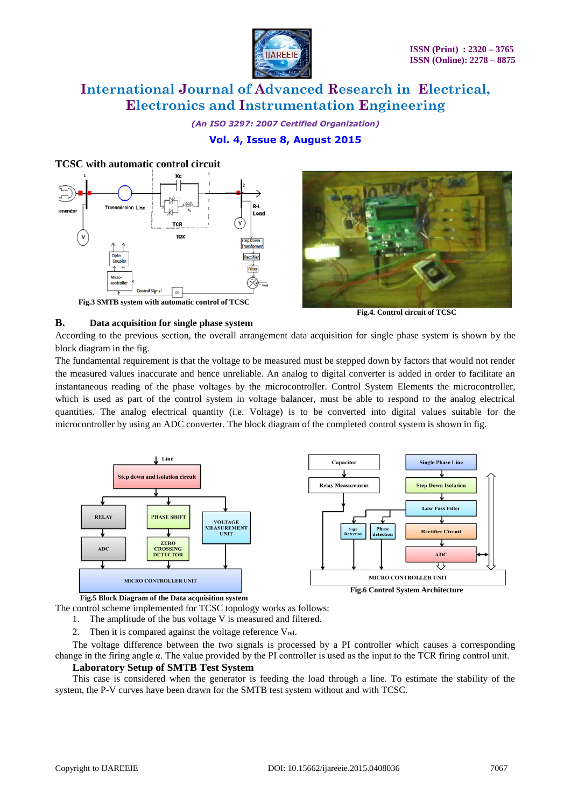

*(An ISO 3297: 2007 Certified Organization)*

### **Vol. 4, Issue 8, August 2015**

### **TCSC with automatic control circuit**



**B. Data acquisition for single phase system** 



**Fig.4. Control circuit of TCSC**

According to the previous section, the overall arrangement data acquisition for single phase system is shown by the block diagram in the fig.

The fundamental requirement is that the voltage to be measured must be stepped down by factors that would not render the measured values inaccurate and hence unreliable. An analog to digital converter is added in order to facilitate an instantaneous reading of the phase voltages by the microcontroller. Control System Elements the microcontroller, which is used as part of the control system in voltage balancer, must be able to respond to the analog electrical quantities. The analog electrical quantity (i.e. Voltage) is to be converted into digital values suitable for the microcontroller by using an ADC converter. The block diagram of the completed control system is shown in fig.



### **Fig.5 Block Diagram of the Data acquisition system**

The control scheme implemented for TCSC topology works as follows:

1. The amplitude of the bus voltage V is measured and filtered.

2. Then it is compared against the voltage reference Vref.

The voltage difference between the two signals is processed by a PI controller which causes a corresponding change in the firing angle  $\alpha$ . The value provided by the PI controller is used as the input to the TCR firing control unit.

### **Laboratory Setup of SMTB Test System**

This case is considered when the generator is feeding the load through a line. To estimate the stability of the system, the P-V curves have been drawn for the SMTB test system without and with TCSC.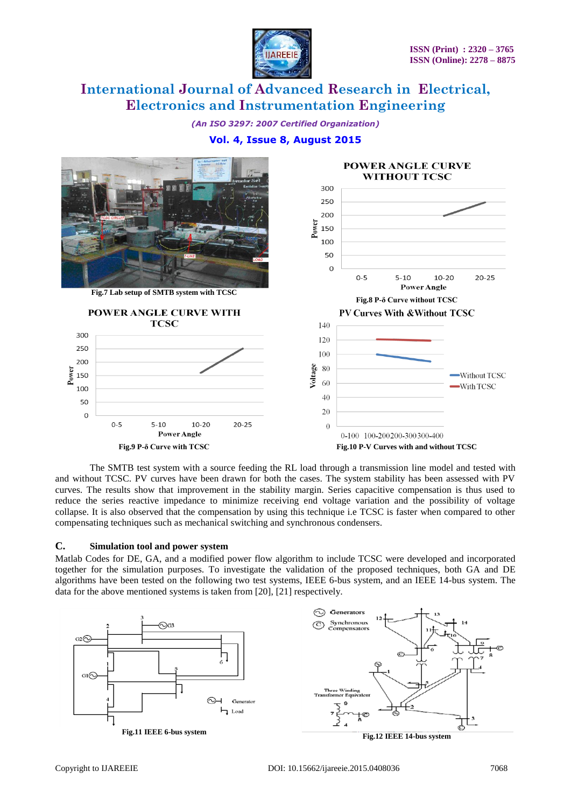

*(An ISO 3297: 2007 Certified Organization)*

### **Vol. 4, Issue 8, August 2015**



The SMTB test system with a source feeding the RL load through a transmission line model and tested with and without TCSC. PV curves have been drawn for both the cases. The system stability has been assessed with PV curves. The results show that improvement in the stability margin. Series capacitive compensation is thus used to reduce the series reactive impedance to minimize receiving end voltage variation and the possibility of voltage collapse. It is also observed that the compensation by using this technique i.e TCSC is faster when compared to other compensating techniques such as mechanical switching and synchronous condensers.

### **C. Simulation tool and power system**

Matlab Codes for DE, GA, and a modified power flow algorithm to include TCSC were developed and incorporated together for the simulation purposes. To investigate the validation of the proposed techniques, both GA and DE algorithms have been tested on the following two test systems, IEEE 6-bus system, and an IEEE 14-bus system. The data for the above mentioned systems is taken from [20], [21] respectively.

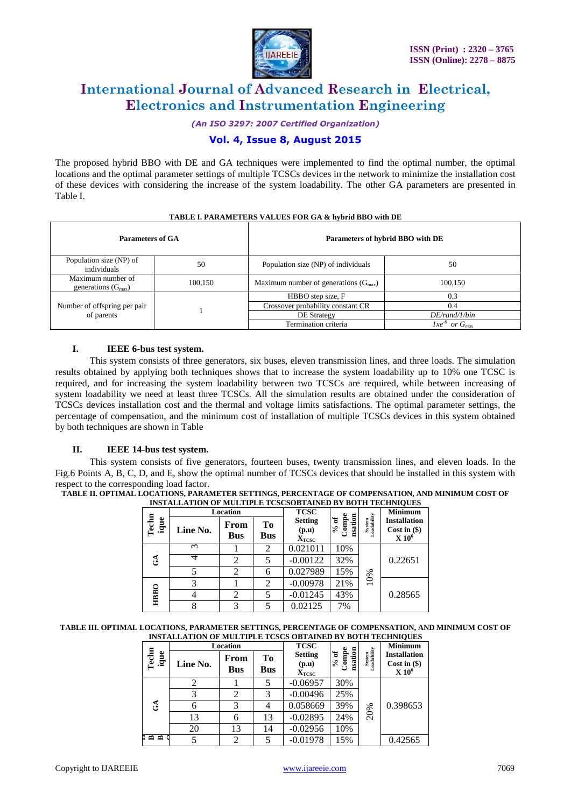

*(An ISO 3297: 2007 Certified Organization)*

## **Vol. 4, Issue 8, August 2015**

The proposed hybrid BBO with DE and GA techniques were implemented to find the optimal number, the optimal locations and the optimal parameter settings of multiple TCSCs devices in the network to minimize the installation cost of these devices with considering the increase of the system loadability. The other GA parameters are presented in Table I.

#### **TABLE I. PARAMETERS VALUES FOR GA & hybrid BBO with DE**

| <b>Parameters of GA</b>                             |         |                                                  | Parameters of hybrid BBO with DE |
|-----------------------------------------------------|---------|--------------------------------------------------|----------------------------------|
| Population size (NP) of<br>individuals              | 50      | Population size (NP) of individuals              | 50                               |
| Maximum number of<br>generations $(G_{\text{max}})$ | 100.150 | Maximum number of generations $(G_{\text{max}})$ | 100,150                          |
|                                                     |         | HBBO step size, F                                | 0.3                              |
| Number of offspring per pair                        |         | Crossover probability constant CR                | 0.4                              |
| of parents                                          |         | <b>DE Strategy</b>                               | DE/rand/1/bin                    |
|                                                     |         | Termination criteria                             | 1xe <sup>-6</sup> or $G_{max}$   |

### **I. IEEE 6-bus test system.**

This system consists of three generators, six buses, eleven transmission lines, and three loads. The simulation results obtained by applying both techniques shows that to increase the system loadability up to 10% one TCSC is required, and for increasing the system loadability between two TCSCs are required, while between increasing of system loadability we need at least three TCSCs. All the simulation results are obtained under the consideration of TCSCs devices installation cost and the thermal and voltage limits satisfactions. The optimal parameter settings, the percentage of compensation, and the minimum cost of installation of multiple TCSCs devices in this system obtained by both techniques are shown in Table

### **II. IEEE 14-bus test system.**

This system consists of five generators, fourteen buses, twenty transmission lines, and eleven loads. In the Fig.6 Points A, B, C, D, and E, show the optimal number of TCSCs devices that should be installed in this system with respect to the corresponding load factor.<br>TABLE IL OPTIMAL LOCATIONS, PARAM

|  |  |  |  | TABLE II. OPTIMAL LOCATIONS. PARAMETER SETTINGS. PERCENTAGE OF COMPENSATION. AND MINIMUM COST OF |  |
|--|--|--|--|--------------------------------------------------------------------------------------------------|--|
|  |  |  |  |                                                                                                  |  |

|                | <b>INSTALLATION OF MULTIPLE TCSCSOBTAINED BY BOTH TECHNIQUES</b> |                    |                  |                                                       |                                             |                      |                                                   |
|----------------|------------------------------------------------------------------|--------------------|------------------|-------------------------------------------------------|---------------------------------------------|----------------------|---------------------------------------------------|
|                |                                                                  | Location           |                  | <b>TCSC</b>                                           |                                             |                      | <b>Minimum</b>                                    |
| Techn<br>ique  | Line No.                                                         | From<br><b>Bus</b> | Tо<br><b>Bus</b> | <b>Setting</b><br>(p.u)<br>$\mathbf{X}_{\text{TCSC}}$ | $\frac{\%}{\degree}$ of<br>Compe<br>nsation | System<br>oadability | <b>Installation</b><br>Cost in $(\$)$<br>$X 10^6$ |
|                | $\epsilon$                                                       |                    | $\mathfrak{D}$   | 0.021011                                              | 10%                                         |                      |                                                   |
| $\mathfrak{S}$ | 4                                                                | っ                  |                  | $-0.00122$                                            | 32%                                         |                      | 0.22651                                           |
|                |                                                                  |                    | 6                | 0.027989                                              | 15%                                         | 10%                  |                                                   |
|                | 3                                                                |                    | $\mathfrak{D}$   | $-0.00978$                                            | 21%                                         |                      |                                                   |
| <b>HBBO</b>    |                                                                  | ◠                  |                  | $-0.01245$                                            | 43%                                         |                      | 0.28565                                           |
|                | 8                                                                | 3                  |                  | 0.02125                                               | 7%                                          |                      |                                                   |

#### **TABLE III. OPTIMAL LOCATIONS, PARAMETER SETTINGS, PERCENTAGE OF COMPENSATION, AND MINIMUM COST OF INSTALLATION OF MULTIPLE TCSCS OBTAINED BY BOTH TECHNIQUES**

|                     |          | Location           |           | <b>TCSC</b>                                  |                          |                          | <b>Minimum</b>                                    |
|---------------------|----------|--------------------|-----------|----------------------------------------------|--------------------------|--------------------------|---------------------------------------------------|
| Techn<br>ique       | Line No. | From<br><b>Bus</b> | Tо<br>Bus | <b>Setting</b><br>(p.u)<br>X <sub>TCSC</sub> | % of<br>Compe<br>nsation | oadability<br>System<br> | <b>Installation</b><br>Cost in $(\$)$<br>$X 10^6$ |
|                     |          |                    |           | $-0.06957$                                   | 30%                      |                          |                                                   |
|                     |          |                    | 3         | $-0.00496$                                   | 25%                      |                          |                                                   |
| $\mathfrak{S}$      | 6        |                    |           | 0.058669                                     | 39%                      |                          | 0.398653                                          |
|                     | 13       |                    | 13        | $-0.02895$                                   | 24%                      | 20%                      |                                                   |
|                     | 20       | 13                 | 14        | $-0.02956$                                   | 10%                      |                          |                                                   |
| $\approx$<br>$\sim$ |          |                    |           | $-0.01978$                                   | 15%                      |                          | 0.42565                                           |